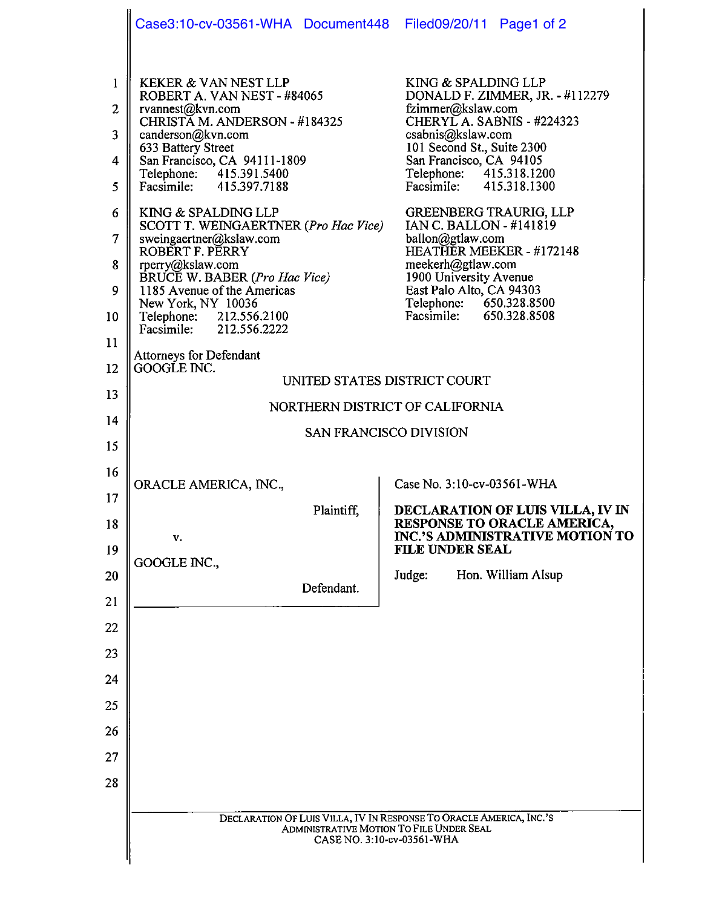|                                                                                            | Case3:10-cv-03561-WHA Document448 Filed09/20/11 Page1 of 2                                                                                                                                                                                                                                                                                                                                                                                                                                                                                                          |                                                                                                                                                                                                                                                                                                                                                                                                                                                                                    |
|--------------------------------------------------------------------------------------------|---------------------------------------------------------------------------------------------------------------------------------------------------------------------------------------------------------------------------------------------------------------------------------------------------------------------------------------------------------------------------------------------------------------------------------------------------------------------------------------------------------------------------------------------------------------------|------------------------------------------------------------------------------------------------------------------------------------------------------------------------------------------------------------------------------------------------------------------------------------------------------------------------------------------------------------------------------------------------------------------------------------------------------------------------------------|
| $\mathbf{1}$<br>$\overline{c}$<br>3<br>$\overline{4}$<br>5<br>6<br>7<br>8<br>9<br>10<br>11 | <b>KEKER &amp; VAN NEST LLP</b><br>ROBERT A. VAN NEST - #84065<br>rvannest@kvn.com<br>CHRISTĂ M. ANDERSON - #184325<br>canderson@kvn.com<br>633 Battery Street<br>San Francisco, CA 94111-1809<br>Telephone: 415.391.5400<br>Facsimile: 415.397.7188<br>KING & SPALDING LLP<br>SCOTT T. WEINGAERTNER (Pro Hac Vice)<br>sweingaertner@kslaw.com<br>ROBERT F. PERRY<br>rperry@kslaw.com<br>BRUCE W. BABER (Pro Hac Vice)<br>1185 Avenue of the Americas<br>New York, NY 10036<br>Telephone: 212.556.2100<br>Facsimile: 212.556.2222<br><b>Attorneys for Defendant</b> | KING & SPALDING LLP<br>DONALD F. ZIMMER, JR. - #112279<br>fzimmer@kslaw.com<br>CHERYLA. SABNIS - #224323<br>csabnis@kslaw.com<br>101 Second St., Suite 2300<br>San Francisco, CA 94105<br>Telephone: 415.318.1200<br>Facsimile: 415.318.1300<br>GREENBERG TRAURIG, LLP<br>IAN C. BALLON - #141819<br>ballon@gtlaw.com<br>HEATHER MEEKER - #172148<br>meekerh@gtlaw.com<br>1900 University Avenue<br>East Palo Alto, CA 94303<br>Telephone: 650.328.8500<br>Facsimile: 650.328.8508 |
| 12                                                                                         | GOOGLE INC.<br>UNITED STATES DISTRICT COURT                                                                                                                                                                                                                                                                                                                                                                                                                                                                                                                         |                                                                                                                                                                                                                                                                                                                                                                                                                                                                                    |
| 13                                                                                         | NORTHERN DISTRICT OF CALIFORNIA                                                                                                                                                                                                                                                                                                                                                                                                                                                                                                                                     |                                                                                                                                                                                                                                                                                                                                                                                                                                                                                    |
| 14                                                                                         | SAN FRANCISCO DIVISION                                                                                                                                                                                                                                                                                                                                                                                                                                                                                                                                              |                                                                                                                                                                                                                                                                                                                                                                                                                                                                                    |
| 15                                                                                         |                                                                                                                                                                                                                                                                                                                                                                                                                                                                                                                                                                     |                                                                                                                                                                                                                                                                                                                                                                                                                                                                                    |
| 16                                                                                         | ORACLE AMERICA, INC.,                                                                                                                                                                                                                                                                                                                                                                                                                                                                                                                                               | Case No. 3:10-cv-03561-WHA                                                                                                                                                                                                                                                                                                                                                                                                                                                         |
| 17                                                                                         | Plaintiff,                                                                                                                                                                                                                                                                                                                                                                                                                                                                                                                                                          | DECLARATION OF LUIS VILLA, IV IN                                                                                                                                                                                                                                                                                                                                                                                                                                                   |
| 18<br>19                                                                                   | v.                                                                                                                                                                                                                                                                                                                                                                                                                                                                                                                                                                  | RESPONSE TO ORACLE AMERICA,<br>INC.'S ADMINISTRATIVE MOTION TO<br><b>FILE UNDER SEAL</b>                                                                                                                                                                                                                                                                                                                                                                                           |
| 20                                                                                         | GOOGLE INC.,                                                                                                                                                                                                                                                                                                                                                                                                                                                                                                                                                        | Hon. William Alsup<br>Judge:                                                                                                                                                                                                                                                                                                                                                                                                                                                       |
| 21                                                                                         | Defendant.                                                                                                                                                                                                                                                                                                                                                                                                                                                                                                                                                          |                                                                                                                                                                                                                                                                                                                                                                                                                                                                                    |
| 22                                                                                         |                                                                                                                                                                                                                                                                                                                                                                                                                                                                                                                                                                     |                                                                                                                                                                                                                                                                                                                                                                                                                                                                                    |
| 23                                                                                         |                                                                                                                                                                                                                                                                                                                                                                                                                                                                                                                                                                     |                                                                                                                                                                                                                                                                                                                                                                                                                                                                                    |
| 24                                                                                         |                                                                                                                                                                                                                                                                                                                                                                                                                                                                                                                                                                     |                                                                                                                                                                                                                                                                                                                                                                                                                                                                                    |
| 25                                                                                         |                                                                                                                                                                                                                                                                                                                                                                                                                                                                                                                                                                     |                                                                                                                                                                                                                                                                                                                                                                                                                                                                                    |
| 26                                                                                         |                                                                                                                                                                                                                                                                                                                                                                                                                                                                                                                                                                     |                                                                                                                                                                                                                                                                                                                                                                                                                                                                                    |
| 27                                                                                         |                                                                                                                                                                                                                                                                                                                                                                                                                                                                                                                                                                     |                                                                                                                                                                                                                                                                                                                                                                                                                                                                                    |
| 28                                                                                         |                                                                                                                                                                                                                                                                                                                                                                                                                                                                                                                                                                     |                                                                                                                                                                                                                                                                                                                                                                                                                                                                                    |
|                                                                                            | DECLARATION OF LUIS VILLA, IV IN RESPONSE TO ORACLE AMERICA, INC.'S                                                                                                                                                                                                                                                                                                                                                                                                                                                                                                 |                                                                                                                                                                                                                                                                                                                                                                                                                                                                                    |
|                                                                                            | ADMINISTRATIVE MOTION TO FILE UNDER SEAL<br>CASE NO. 3:10-cv-03561-WHA                                                                                                                                                                                                                                                                                                                                                                                                                                                                                              |                                                                                                                                                                                                                                                                                                                                                                                                                                                                                    |